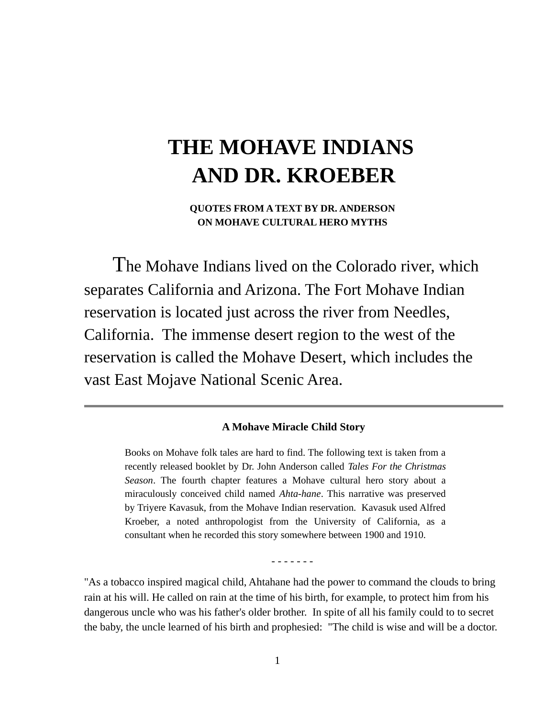# **THE MOHAVE INDIANS AND DR. KROEBER**

**QUOTES FROM A TEXT BY DR. ANDERSON ON MOHAVE CULTURAL HERO MYTHS**

 The Mohave Indians lived on the Colorado river, which separates California and Arizona. The Fort Mohave Indian reservation is located just across the river from Needles, California. The immense desert region to the west of the reservation is called the Mohave Desert, which includes the vast East Mojave National Scenic Area.

### **A Mohave Miracle Child Story**

Books on Mohave folk tales are hard to find. The following text is taken from a recently released booklet by Dr. John Anderson called *Tales For the Christmas Season*. The fourth chapter features a Mohave cultural hero story about a miraculously conceived child named *Ahta-hane*. This narrative was preserved by Triyere Kavasuk, from the Mohave Indian reservation. Kavasuk used Alfred Kroeber, a noted anthropologist from the University of California, as a consultant when he recorded this story somewhere between 1900 and 1910.

- - - - - - -

"As a tobacco inspired magical child, Ahtahane had the power to command the clouds to bring rain at his will. He called on rain at the time of his birth, for example, to protect him from his dangerous uncle who was his father's older brother. In spite of all his family could to to secret the baby, the uncle learned of his birth and prophesied: "The child is wise and will be a doctor.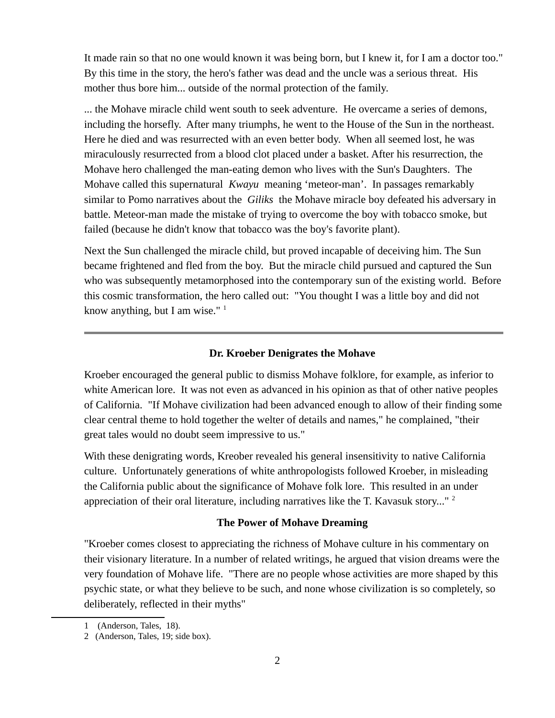It made rain so that no one would known it was being born, but I knew it, for I am a doctor too." By this time in the story, the hero's father was dead and the uncle was a serious threat. His mother thus bore him... outside of the normal protection of the family.

... the Mohave miracle child went south to seek adventure. He overcame a series of demons, including the horsefly. After many triumphs, he went to the House of the Sun in the northeast. Here he died and was resurrected with an even better body. When all seemed lost, he was miraculously resurrected from a blood clot placed under a basket. After his resurrection, the Mohave hero challenged the man-eating demon who lives with the Sun's Daughters. The Mohave called this supernatural *Kwayu* meaning 'meteor-man'. In passages remarkably similar to Pomo narratives about the *Giliks* the Mohave miracle boy defeated his adversary in battle. Meteor-man made the mistake of trying to overcome the boy with tobacco smoke, but failed (because he didn't know that tobacco was the boy's favorite plant).

Next the Sun challenged the miracle child, but proved incapable of deceiving him. The Sun became frightened and fled from the boy. But the miracle child pursued and captured the Sun who was subsequently metamorphosed into the contemporary sun of the existing world. Before this cosmic transformation, the hero called out: "You thought I was a little boy and did not know anything, but I am wise."  $1$ 

#### **Dr. Kroeber Denigrates the Mohave**

Kroeber encouraged the general public to dismiss Mohave folklore, for example, as inferior to white American lore. It was not even as advanced in his opinion as that of other native peoples of California. "If Mohave civilization had been advanced enough to allow of their finding some clear central theme to hold together the welter of details and names," he complained, "their great tales would no doubt seem impressive to us."

With these denigrating words, Kreober revealed his general insensitivity to native California culture. Unfortunately generations of white anthropologists followed Kroeber, in misleading the California public about the significance of Mohave folk lore. This resulted in an under appreciation of their oral literature, including narratives like the T. Kavasuk story..."  $2$ 

#### **The Power of Mohave Dreaming**

"Kroeber comes closest to appreciating the richness of Mohave culture in his commentary on their visionary literature. In a number of related writings, he argued that vision dreams were the very foundation of Mohave life. "There are no people whose activities are more shaped by this psychic state, or what they believe to be such, and none whose civilization is so completely, so deliberately, reflected in their myths"

<span id="page-1-0"></span><sup>1 (</sup>Anderson, Tales, 18).

<span id="page-1-1"></span><sup>2 (</sup>Anderson, Tales, 19; side box).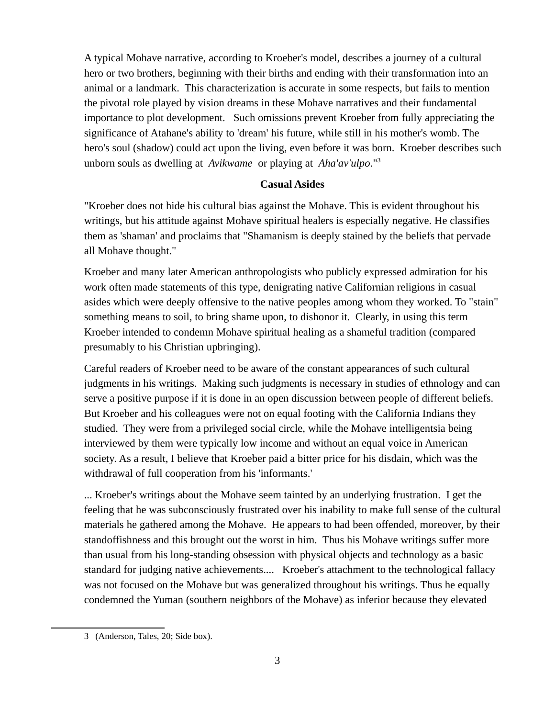A typical Mohave narrative, according to Kroeber's model, describes a journey of a cultural hero or two brothers, beginning with their births and ending with their transformation into an animal or a landmark. This characterization is accurate in some respects, but fails to mention the pivotal role played by vision dreams in these Mohave narratives and their fundamental importance to plot development. Such omissions prevent Kroeber from fully appreciating the significance of Atahane's ability to 'dream' his future, while still in his mother's womb. The hero's soul (shadow) could act upon the living, even before it was born. Kroeber describes such unborn souls as dwelling at *Avikwame* or playing at *Aha'av'ulpo*."[3](#page-2-0)

## **Casual Asides**

"Kroeber does not hide his cultural bias against the Mohave. This is evident throughout his writings, but his attitude against Mohave spiritual healers is especially negative. He classifies them as 'shaman' and proclaims that "Shamanism is deeply stained by the beliefs that pervade all Mohave thought."

Kroeber and many later American anthropologists who publicly expressed admiration for his work often made statements of this type, denigrating native Californian religions in casual asides which were deeply offensive to the native peoples among whom they worked. To "stain" something means to soil, to bring shame upon, to dishonor it. Clearly, in using this term Kroeber intended to condemn Mohave spiritual healing as a shameful tradition (compared presumably to his Christian upbringing).

Careful readers of Kroeber need to be aware of the constant appearances of such cultural judgments in his writings. Making such judgments is necessary in studies of ethnology and can serve a positive purpose if it is done in an open discussion between people of different beliefs. But Kroeber and his colleagues were not on equal footing with the California Indians they studied. They were from a privileged social circle, while the Mohave intelligentsia being interviewed by them were typically low income and without an equal voice in American society. As a result, I believe that Kroeber paid a bitter price for his disdain, which was the withdrawal of full cooperation from his 'informants.'

... Kroeber's writings about the Mohave seem tainted by an underlying frustration. I get the feeling that he was subconsciously frustrated over his inability to make full sense of the cultural materials he gathered among the Mohave. He appears to had been offended, moreover, by their standoffishness and this brought out the worst in him. Thus his Mohave writings suffer more than usual from his long-standing obsession with physical objects and technology as a basic standard for judging native achievements.... Kroeber's attachment to the technological fallacy was not focused on the Mohave but was generalized throughout his writings. Thus he equally condemned the Yuman (southern neighbors of the Mohave) as inferior because they elevated

<span id="page-2-0"></span><sup>3 (</sup>Anderson, Tales, 20; Side box).